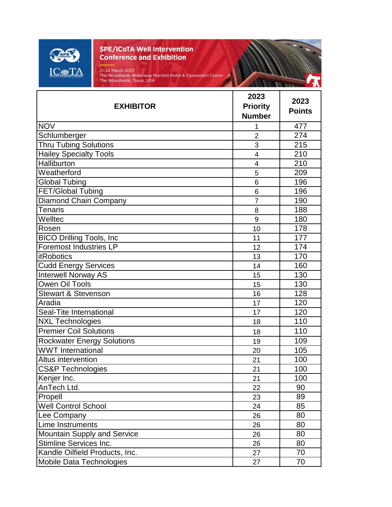

21-22 March 2023<br>The Woodlands Waterway Marriott Hotel & Convention Center<br>The Woodlands, Texas, USA

THE ALL REPORTS

| <b>EXHIBITOR</b>                  | 2023<br><b>Priority</b><br><b>Number</b> | 2023<br><b>Points</b> |
|-----------------------------------|------------------------------------------|-----------------------|
| <b>NOV</b>                        | 1                                        | 477                   |
| Schlumberger                      | $\overline{2}$                           | 274                   |
| <b>Thru Tubing Solutions</b>      | 3                                        | 215                   |
| <b>Hailey Specialty Tools</b>     | $\overline{4}$                           | 210                   |
| Halliburton                       | $\overline{4}$                           | 210                   |
| Weatherford                       | 5                                        | 209                   |
| <b>Global Tubing</b>              | 6                                        | 196                   |
| FET/Global Tubing                 | 6                                        | 196                   |
| <b>Diamond Chain Company</b>      | $\overline{7}$                           | 190                   |
| <b>Tenaris</b>                    | 8                                        | 188                   |
| Welltec                           | 9                                        | 180                   |
| Rosen                             | 10                                       | 178                   |
| <b>BICO Drilling Tools, Inc</b>   | 11                                       | 177                   |
| <b>Foremost Industries LP</b>     | 12                                       | 174                   |
| <b>itRobotics</b>                 | 13                                       | 170                   |
| <b>Cudd Energy Services</b>       | 14                                       | 160                   |
| <b>Interwell Norway AS</b>        | 15                                       | 130                   |
| <b>Owen Oil Tools</b>             | 15                                       | 130                   |
| <b>Stewart &amp; Stevenson</b>    | 16                                       | 128                   |
| Aradia                            | 17                                       | 120                   |
| Seal-Tite International           | 17                                       | 120                   |
| <b>NXL Technologies</b>           | 18                                       | 110                   |
| <b>Premier Coil Solutions</b>     | 18                                       | 110                   |
| <b>Rockwater Energy Solutions</b> | 19                                       | 109                   |
| <b>WWT</b> International          | 20                                       | 105                   |
| Altus intervention                | 21                                       | 100                   |
| <b>CS&amp;P Technologies</b>      | 21                                       | 100                   |
| Kenjer Inc.                       | 21                                       | 100                   |
| AnTech Ltd.                       | 22                                       | 90                    |
| Propell                           | 23                                       | 89                    |
| <b>Well Control School</b>        | 24                                       | 85                    |
| Lee Company                       | 26                                       | 80                    |
| Lime Instruments                  | 26                                       | 80                    |
| Mountain Supply and Service       | 26                                       | 80                    |
| Stimline Services Inc.            | 26                                       | 80                    |
| Kandle Oilfield Products, Inc.    | 27                                       | 70                    |
| Mobile Data Technologies          | 27                                       | 70                    |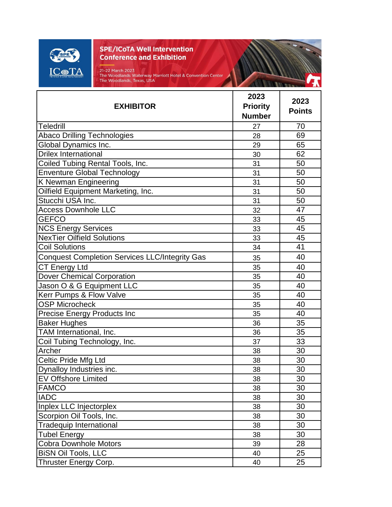

21-22 March 2023<br>The Woodlands Waterway Marriott Hotel & Convention Center<br>The Woodlands, Texas, USA

**MARIE AND THE** 

|                                                       | 2023            | 2023          |
|-------------------------------------------------------|-----------------|---------------|
| <b>EXHIBITOR</b>                                      | <b>Priority</b> | <b>Points</b> |
|                                                       | <b>Number</b>   |               |
| Teledrill                                             | 27              | 70            |
| <b>Abaco Drilling Technologies</b>                    | 28              | 69            |
| Global Dynamics Inc.                                  | 29              | 65            |
| <b>Drilex International</b>                           | 30              | 62            |
| Coiled Tubing Rental Tools, Inc.                      | 31              | 50            |
| <b>Enventure Global Technology</b>                    | 31              | 50            |
| K Newman Engineering                                  | 31              | 50            |
| Oilfield Equipment Marketing, Inc.                    | 31              | 50            |
| Stucchi USA Inc.                                      | 31              | 50            |
| <b>Access Downhole LLC</b>                            | 32              | 47            |
| <b>GEFCO</b>                                          | 33              | 45            |
| <b>NCS Energy Services</b>                            | 33              | 45            |
| <b>NexTier Oilfield Solutions</b>                     | 33              | 45            |
| <b>Coil Solutions</b>                                 | 34              | 41            |
| <b>Conquest Completion Services LLC/Integrity Gas</b> | 35              | 40            |
| CT Energy Ltd                                         | 35              | 40            |
| <b>Dover Chemical Corporation</b>                     | 35              | 40            |
| Jason O & G Equipment LLC                             | 35              | 40            |
| Kerr Pumps & Flow Valve                               | 35              | 40            |
| <b>OSP Microcheck</b>                                 | 35              | 40            |
| <b>Precise Energy Products Inc</b>                    | 35              | 40            |
| <b>Baker Hughes</b>                                   | 36              | 35            |
| TAM International, Inc.                               | 36              | 35            |
| Coil Tubing Technology, Inc.                          | 37              | 33            |
| Archer                                                | 38              | 30            |
| Celtic Pride Mfg Ltd                                  | 38              | 30            |
| Dynalloy Industries inc.                              | 38              | 30            |
| <b>EV Offshore Limited</b>                            | 38              | 30            |
| <b>FAMCO</b>                                          | 38              | 30            |
| <b>IADC</b>                                           | 38              | 30            |
| Inplex LLC Injectorplex                               | 38              | 30            |
| Scorpion Oil Tools, Inc.                              | 38              | 30            |
| <b>Tradequip International</b>                        | 38              | 30            |
| <b>Tubel Energy</b>                                   | 38              | 30            |
| <b>Cobra Downhole Motors</b>                          | 39              | 28            |
| <b>BISN OII Tools, LLC</b>                            | 40              | 25            |
| Thruster Energy Corp.                                 | 40              | 25            |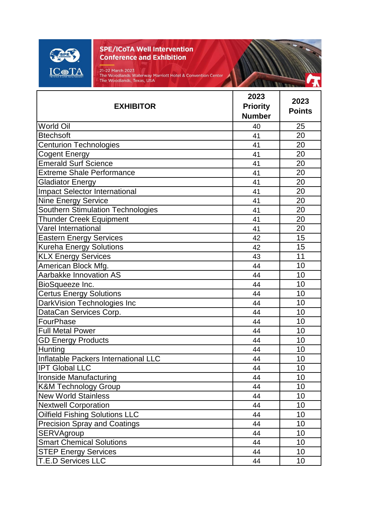

21-22 March 2023<br>The Woodlands Waterway Marriott Hotel & Convention Center<br>The Woodlands, Texas, USA

OF BUILDING

| <b>EXHIBITOR</b>                         | 2023<br><b>Priority</b><br><b>Number</b> | 2023<br><b>Points</b> |
|------------------------------------------|------------------------------------------|-----------------------|
| <b>World Oil</b>                         | 40                                       | 25                    |
| <b>Btechsoft</b>                         | 41                                       | 20                    |
| <b>Centurion Technologies</b>            | 41                                       | 20                    |
| <b>Cogent Energy</b>                     | 41                                       | 20                    |
| <b>Emerald Surf Science</b>              | 41                                       | 20                    |
| <b>Extreme Shale Performance</b>         | 41                                       | 20                    |
| <b>Gladiator Energy</b>                  | 41                                       | 20                    |
| <b>Impact Selector International</b>     | 41                                       | 20                    |
| Nine Energy Service                      | 41                                       | 20                    |
| <b>Southern Stimulation Technologies</b> | 41                                       | 20                    |
| <b>Thunder Creek Equipment</b>           | 41                                       | 20                    |
| Varel International                      | 41                                       | 20                    |
| <b>Eastern Energy Services</b>           | 42                                       | 15                    |
| <b>Kureha Energy Solutions</b>           | 42                                       | 15                    |
| <b>KLX Energy Services</b>               | 43                                       | 11                    |
| American Block Mfg.                      | 44                                       | 10                    |
| Aarbakke Innovation AS                   | 44                                       | 10                    |
| BioSqueeze Inc.                          | 44                                       | 10                    |
| <b>Certus Energy Solutions</b>           | 44                                       | 10                    |
| DarkVision Technologies Inc              | 44                                       | 10                    |
| DataCan Services Corp.                   | 44                                       | 10                    |
| FourPhase                                | 44                                       | 10                    |
| <b>Full Metal Power</b>                  | 44                                       | 10                    |
| <b>GD Energy Products</b>                | 44                                       | 10                    |
| Hunting                                  | 44                                       | 10                    |
| Inflatable Packers International LLC     | 44                                       | 10                    |
| <b>IPT Global LLC</b>                    | 44                                       | 10                    |
| Ironside Manufacturing                   | 44                                       | 10                    |
| <b>K&amp;M Technology Group</b>          | 44                                       | 10                    |
| <b>New World Stainless</b>               | 44                                       | 10                    |
| <b>Nextwell Corporation</b>              | 44                                       | 10                    |
| <b>Oilfield Fishing Solutions LLC</b>    | 44                                       | 10                    |
| <b>Precision Spray and Coatings</b>      | 44                                       | 10                    |
| SERVAgroup                               | 44                                       | 10                    |
| <b>Smart Chemical Solutions</b>          | 44                                       | 10                    |
| <b>STEP Energy Services</b>              | 44                                       | 10                    |
| <b>T.E.D Services LLC</b>                | 44                                       | 10                    |